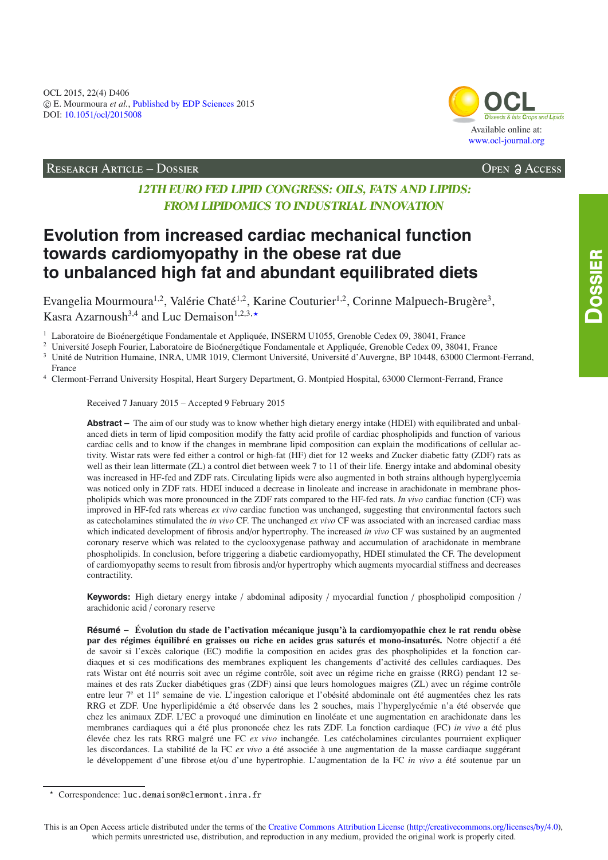

# RESEARCH ARTICLE – DOSSIER Open Access

# **12TH EURO FED LIPID CONGRESS: OILS, FATS AND LIPIDS: FROM LIPIDOMICS TO INDUSTRIAL INNOVATION**

# **Evolution from increased cardiac mechanical function towards cardiomyopathy in the obese rat due to unbalanced high fat and abundant equilibrated diets**

Evangelia Mourmoura<sup>1,2</sup>, Valérie Chaté<sup>1,2</sup>, Karine Couturier<sup>1,2</sup>, Corinne Malpuech-Brugère<sup>3</sup>, Kasra Azarnoush<sup>3,4</sup> and Luc Demaison<sup>1,2,3, $\star$ </sup>

<sup>1</sup> Laboratoire de Bioénergétique Fondamentale et Appliquée, INSERM U1055, Grenoble Cedex 09, 38041, France<br><sup>2</sup> Université Joseph Fourier, Laboratoire de Bioénergétique Fondamentale et Appliquée, Grenoble Cedex 00, 28041

<sup>2</sup> Université Joseph Fourier, Laboratoire de Bioénergétique Fondamentale et Appliquée, Grenoble Cedex 09, 38041, France<br><sup>3</sup> Unité de Nutrition Humaine, INRA, UMR 1019, Clermont Université, Université d'Auvergne, BR 10448,

<sup>3</sup> Unité de Nutrition Humaine, INRA, UMR 1019, Clermont Université, Université d'Auvergne, BP 10448, 63000 Clermont-Ferrand, France

<sup>4</sup> Clermont-Ferrand University Hospital, Heart Surgery Department, G. Montpied Hospital, 63000 Clermont-Ferrand, France

Received 7 January 2015 – Accepted 9 February 2015

**Abstract –** The aim of our study was to know whether high dietary energy intake (HDEI) with equilibrated and unbalanced diets in term of lipid composition modify the fatty acid profile of cardiac phospholipids and function of various cardiac cells and to know if the changes in membrane lipid composition can explain the modifications of cellular activity. Wistar rats were fed either a control or high-fat (HF) diet for 12 weeks and Zucker diabetic fatty (ZDF) rats as well as their lean littermate (ZL) a control diet between week 7 to 11 of their life. Energy intake and abdominal obesity was increased in HF-fed and ZDF rats. Circulating lipids were also augmented in both strains although hyperglycemia was noticed only in ZDF rats. HDEI induced a decrease in linoleate and increase in arachidonate in membrane phospholipids which was more pronounced in the ZDF rats compared to the HF-fed rats. *In vivo* cardiac function (CF) was improved in HF-fed rats whereas *ex vivo* cardiac function was unchanged, suggesting that environmental factors such as catecholamines stimulated the *in vivo* CF. The unchanged *ex vivo* CF was associated with an increased cardiac mass which indicated development of fibrosis and/or hypertrophy. The increased *in vivo* CF was sustained by an augmented coronary reserve which was related to the cyclooxygenase pathway and accumulation of arachidonate in membrane phospholipids. In conclusion, before triggering a diabetic cardiomyopathy, HDEI stimulated the CF. The development of cardiomyopathy seems to result from fibrosis and/or hypertrophy which augments myocardial stiffness and decreases contractility.

**Keywords:** High dietary energy intake / abdominal adiposity / myocardial function / phospholipid composition / arachidonic acid / coronary reserve

**Résumé – Évolution du stade de l'activation mécanique jusqu'à la cardiomyopathie chez le rat rendu obèse par des régimes équilibré en graisses ou riche en acides gras saturés et mono-insaturés.** Notre objectif a été de savoir si l'excès calorique (EC) modifie la composition en acides gras des phospholipides et la fonction cardiaques et si ces modifications des membranes expliquent les changements d'activité des cellules cardiaques. Des rats Wistar ont été nourris soit avec un régime contrôle, soit avec un régime riche en graisse (RRG) pendant 12 semaines et des rats Zucker diabétiques gras (ZDF) ainsi que leurs homologues maigres (ZL) avec un régime contrôle entre leur 7<sup>e</sup> et 11<sup>e</sup> semaine de vie. L'ingestion calorique et l'obésité abdominale ont été augmentées chez les rats RRG et ZDF. Une hyperlipidémie a été observée dans les 2 souches, mais l'hyperglycémie n'a été observée que chez les animaux ZDF. L'EC a provoqué une diminution en linoléate et une augmentation en arachidonate dans les membranes cardiaques qui a été plus prononcée chez les rats ZDF. La fonction cardiaque (FC) *in vivo* a été plus élevée chez les rats RRG malgré une FC *ex vivo* inchangée. Les catécholamines circulantes pourraient expliquer les discordances. La stabilité de la FC *ex vivo* a été associée à une augmentation de la masse cardiaque suggérant le développement d'une fibrose et/ou d'une hypertrophie. L'augmentation de la FC *in vivo* a été soutenue par un

 $\star$ Correspondence: luc.demaison@clermont.inra.fr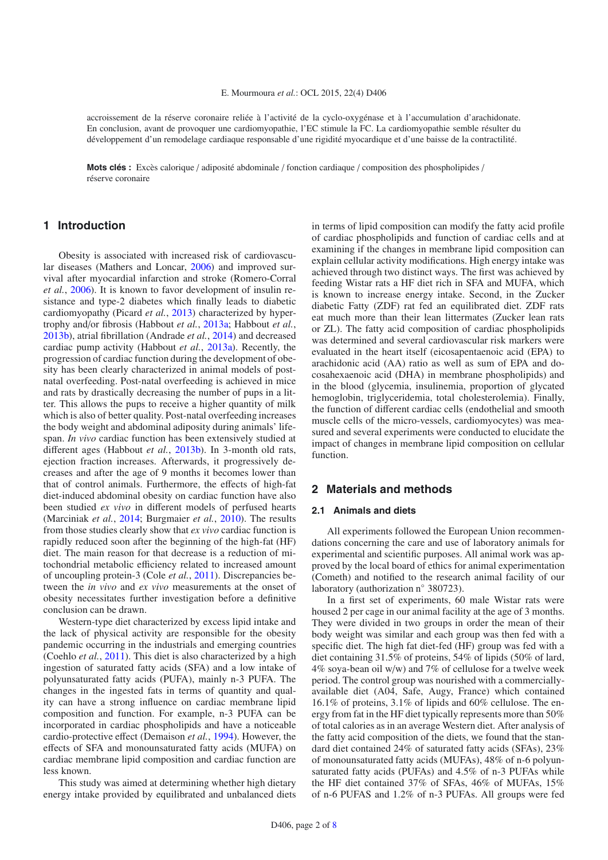#### E. Mourmoura *et al.*: OCL 2015, 22(4) D406

accroissement de la réserve coronaire reliée à l'activité de la cyclo-oxygénase et à l'accumulation d'arachidonate. En conclusion, avant de provoquer une cardiomyopathie, l'EC stimule la FC. La cardiomyopathie semble résulter du développement d'un remodelage cardiaque responsable d'une rigidité myocardique et d'une baisse de la contractilité.

**Mots clés :** Excès calorique / adiposité abdominale / fonction cardiaque / composition des phospholipides / réserve coronaire

### **1 Introduction**

Obesity is associated with increased risk of cardiovascular diseases (Mathers and Loncar, [2006\)](#page-7-0) and improved survival after myocardial infarction and stroke (Romero-Corral *et al.*, [2006\)](#page-7-1). It is known to favor development of insulin resistance and type-2 diabetes which finally leads to diabetic cardiomyopathy (Picard *et al.*, [2013\)](#page-7-2) characterized by hypertrophy and/or fibrosis (Habbout *et al.*, [2013a;](#page-7-3) Habbout *et al.*, [2013b\)](#page-7-4), atrial fibrillation (Andrade *et al.*, [2014](#page-7-5)) and decreased cardiac pump activity (Habbout *et al.*, [2013a\)](#page-7-3). Recently, the progression of cardiac function during the development of obesity has been clearly characterized in animal models of postnatal overfeeding. Post-natal overfeeding is achieved in mice and rats by drastically decreasing the number of pups in a litter. This allows the pups to receive a higher quantity of milk which is also of better quality. Post-natal overfeeding increases the body weight and abdominal adiposity during animals' lifespan. *In vivo* cardiac function has been extensively studied at different ages (Habbout *et al.*, [2013b\)](#page-7-4). In 3-month old rats, ejection fraction increases. Afterwards, it progressively decreases and after the age of 9 months it becomes lower than that of control animals. Furthermore, the effects of high-fat diet-induced abdominal obesity on cardiac function have also been studied *ex vivo* in different models of perfused hearts (Marciniak *et al.*, [2014;](#page-7-6) Burgmaier *et al.*, [2010\)](#page-7-7). The results from those studies clearly show that *ex vivo* cardiac function is rapidly reduced soon after the beginning of the high-fat (HF) diet. The main reason for that decrease is a reduction of mitochondrial metabolic efficiency related to increased amount of uncoupling protein-3 (Cole *et al.*, [2011](#page-7-8)). Discrepancies between the *in vivo* and *ex vivo* measurements at the onset of obesity necessitates further investigation before a definitive conclusion can be drawn.

Western-type diet characterized by excess lipid intake and the lack of physical activity are responsible for the obesity pandemic occurring in the industrials and emerging countries (Coehlo *et al.*, [2011\)](#page-7-9). This diet is also characterized by a high ingestion of saturated fatty acids (SFA) and a low intake of polyunsaturated fatty acids (PUFA), mainly n-3 PUFA. The changes in the ingested fats in terms of quantity and quality can have a strong influence on cardiac membrane lipid composition and function. For example, n-3 PUFA can be incorporated in cardiac phospholipids and have a noticeable cardio-protective effect (Demaison *et al.*, [1994\)](#page-7-10). However, the effects of SFA and monounsaturated fatty acids (MUFA) on cardiac membrane lipid composition and cardiac function are less known.

This study was aimed at determining whether high dietary energy intake provided by equilibrated and unbalanced diets in terms of lipid composition can modify the fatty acid profile of cardiac phospholipids and function of cardiac cells and at examining if the changes in membrane lipid composition can explain cellular activity modifications. High energy intake was achieved through two distinct ways. The first was achieved by feeding Wistar rats a HF diet rich in SFA and MUFA, which is known to increase energy intake. Second, in the Zucker diabetic Fatty (ZDF) rat fed an equilibrated diet. ZDF rats eat much more than their lean littermates (Zucker lean rats or ZL). The fatty acid composition of cardiac phospholipids was determined and several cardiovascular risk markers were evaluated in the heart itself (eicosapentaenoic acid (EPA) to arachidonic acid (AA) ratio as well as sum of EPA and docosahexaenoic acid (DHA) in membrane phospholipids) and in the blood (glycemia, insulinemia, proportion of glycated hemoglobin, triglyceridemia, total cholesterolemia). Finally, the function of different cardiac cells (endothelial and smooth muscle cells of the micro-vessels, cardiomyocytes) was measured and several experiments were conducted to elucidate the impact of changes in membrane lipid composition on cellular function.

# **2 Materials and methods**

## **2.1 Animals and diets**

All experiments followed the European Union recommendations concerning the care and use of laboratory animals for experimental and scientific purposes. All animal work was approved by the local board of ethics for animal experimentation (Cometh) and notified to the research animal facility of our laboratory (authorization n◦ 380723).

In a first set of experiments, 60 male Wistar rats were housed 2 per cage in our animal facility at the age of 3 months. They were divided in two groups in order the mean of their body weight was similar and each group was then fed with a specific diet. The high fat diet-fed (HF) group was fed with a diet containing 31.5% of proteins, 54% of lipids (50% of lard, 4% soya-bean oil w/w) and 7% of cellulose for a twelve week period. The control group was nourished with a commerciallyavailable diet (A04, Safe, Augy, France) which contained 16.1% of proteins, 3.1% of lipids and 60% cellulose. The energy from fat in the HF diet typically represents more than 50% of total calories as in an average Western diet. After analysis of the fatty acid composition of the diets, we found that the standard diet contained 24% of saturated fatty acids (SFAs), 23% of monounsaturated fatty acids (MUFAs), 48% of n-6 polyunsaturated fatty acids (PUFAs) and 4.5% of n-3 PUFAs while the HF diet contained 37% of SFAs, 46% of MUFAs, 15% of n-6 PUFAS and 1.2% of n-3 PUFAs. All groups were fed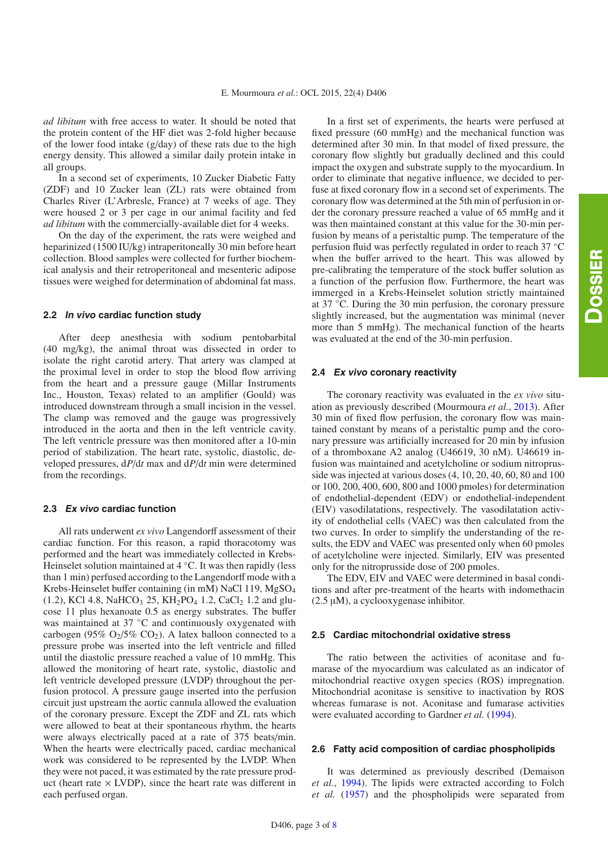*ad libitum* with free access to water. It should be noted that the protein content of the HF diet was 2-fold higher because of the lower food intake (g/day) of these rats due to the high energy density. This allowed a similar daily protein intake in all groups.

In a second set of experiments, 10 Zucker Diabetic Fatty (ZDF) and 10 Zucker lean (ZL) rats were obtained from Charles River (L'Arbresle, France) at 7 weeks of age. They were housed 2 or 3 per cage in our animal facility and fed *ad libitum* with the commercially-available diet for 4 weeks.

On the day of the experiment, the rats were weighed and heparinized (1500 IU/kg) intraperitoneally 30 min before heart collection. Blood samples were collected for further biochemical analysis and their retroperitoneal and mesenteric adipose tissues were weighed for determination of abdominal fat mass.

#### **2.2 In vivo cardiac function study**

After deep anesthesia with sodium pentobarbital (40 mg/kg), the animal throat was dissected in order to isolate the right carotid artery. That artery was clamped at the proximal level in order to stop the blood flow arriving from the heart and a pressure gauge (Millar Instruments Inc., Houston, Texas) related to an amplifier (Gould) was introduced downstream through a small incision in the vessel. The clamp was removed and the gauge was progressively introduced in the aorta and then in the left ventricle cavity. The left ventricle pressure was then monitored after a 10-min period of stabilization. The heart rate, systolic, diastolic, developed pressures, d*P*/d*t* max and d*P*/d*t* min were determined from the recordings.

#### **2.3 Ex vivo cardiac function**

All rats underwent *ex vivo* Langendorff assessment of their cardiac function. For this reason, a rapid thoracotomy was performed and the heart was immediately collected in Krebs-Heinselet solution maintained at 4 °C. It was then rapidly (less than 1 min) perfused according to the Langendorff mode with a Krebs-Heinselet buffer containing (in mM) NaCl 119, MgSO4  $(1.2)$ , KCl 4.8, NaHCO<sub>3</sub> 25, KH<sub>2</sub>PO<sub>4</sub> 1.2, CaCl<sub>2</sub> 1.2 and glucose 11 plus hexanoate 0.5 as energy substrates. The buffer was maintained at 37 °C and continuously oxygenated with carbogen (95%  $O_2/5\%$  CO<sub>2</sub>). A latex balloon connected to a pressure probe was inserted into the left ventricle and filled until the diastolic pressure reached a value of 10 mmHg. This allowed the monitoring of heart rate, systolic, diastolic and left ventricle developed pressure (LVDP) throughout the perfusion protocol. A pressure gauge inserted into the perfusion circuit just upstream the aortic cannula allowed the evaluation of the coronary pressure. Except the ZDF and ZL rats which were allowed to beat at their spontaneous rhythm, the hearts were always electrically paced at a rate of 375 beats/min. When the hearts were electrically paced, cardiac mechanical work was considered to be represented by the LVDP. When they were not paced, it was estimated by the rate pressure product (heart rate  $\times$  LVDP), since the heart rate was different in each perfused organ.

In a first set of experiments, the hearts were perfused at fixed pressure (60 mmHg) and the mechanical function was determined after 30 min. In that model of fixed pressure, the coronary flow slightly but gradually declined and this could impact the oxygen and substrate supply to the myocardium. In order to eliminate that negative influence, we decided to perfuse at fixed coronary flow in a second set of experiments. The coronary flow was determined at the 5th min of perfusion in order the coronary pressure reached a value of 65 mmHg and it was then maintained constant at this value for the 30-min perfusion by means of a peristaltic pump. The temperature of the perfusion fluid was perfectly regulated in order to reach 37 ◦C when the buffer arrived to the heart. This was allowed by pre-calibrating the temperature of the stock buffer solution as a function of the perfusion flow. Furthermore, the heart was immerged in a Krebs-Heinselet solution strictly maintained at 37 ◦C. During the 30 min perfusion, the coronary pressure slightly increased, but the augmentation was minimal (never more than 5 mmHg). The mechanical function of the hearts was evaluated at the end of the 30-min perfusion.

#### **2.4 Ex vivo coronary reactivity**

The coronary reactivity was evaluated in the *ex vivo* situation as previously described (Mourmoura *et al.*, [2013](#page-7-12)). After 30 min of fixed flow perfusion, the coronary flow was maintained constant by means of a peristaltic pump and the coronary pressure was artificially increased for 20 min by infusion of a thromboxane A2 analog (U46619, 30 nM). U46619 infusion was maintained and acetylcholine or sodium nitroprusside was injected at various doses (4, 10, 20, 40, 60, 80 and 100 or 100, 200, 400, 600, 800 and 1000 pmoles) for determination of endothelial-dependent (EDV) or endothelial-independent (EIV) vasodilatations, respectively. The vasodilatation activity of endothelial cells (VAEC) was then calculated from the two curves. In order to simplify the understanding of the results, the EDV and VAEC was presented only when 60 pmoles of acetylcholine were injected. Similarly, EIV was presented only for the nitroprusside dose of 200 pmoles.

The EDV, EIV and VAEC were determined in basal conditions and after pre-treatment of the hearts with indomethacin  $(2.5 \mu M)$ , a cyclooxygenase inhibitor.

#### **2.5 Cardiac mitochondrial oxidative stress**

The ratio between the activities of aconitase and fumarase of the myocardium was calculated as an indicator of mitochondrial reactive oxygen species (ROS) impregnation. Mitochondrial aconitase is sensitive to inactivation by ROS whereas fumarase is not. Aconitase and fumarase activities were evaluated according to Gardner *et al.* [\(1994\)](#page-7-13).

#### **2.6 Fatty acid composition of cardiac phospholipids**

It was determined as previously described (Demaison *et al.*, [1994\)](#page-7-10). The lipids were extracted according to Folch *et al.* [\(1957](#page-7-14)) and the phospholipids were separated from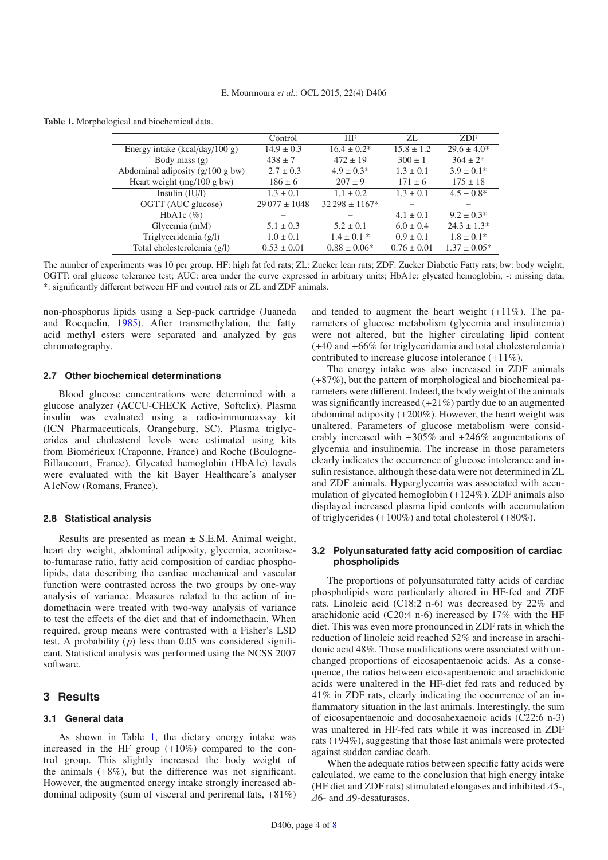<span id="page-3-0"></span>

| Table 1. Morphological and biochemical data. |  |  |  |
|----------------------------------------------|--|--|--|
|----------------------------------------------|--|--|--|

|                                     | Control          | HF                            | ZL.             | <b>ZDF</b>       |
|-------------------------------------|------------------|-------------------------------|-----------------|------------------|
| Energy intake (kcal/day/100 g)      | $14.9 \pm 0.3$   | $16.4 \pm 0.2^*$              | $15.8 \pm 1.2$  | $29.6 \pm 4.0^*$ |
| Body mass $(g)$                     | $438 \pm 7$      | $472 \pm 19$                  | $300 \pm 1$     | $364 \pm 2^*$    |
| Abdominal adiposity $(g/100 g)$ bw) | $2.7 \pm 0.3$    | $4.9 \pm 0.3*$                | $1.3 \pm 0.1$   | $3.9 \pm 0.1*$   |
| Heart weight (mg/100 g bw)          | $186 \pm 6$      | $207 \pm 9$                   | $171 \pm 6$     | $175 \pm 18$     |
| Insulin $(IU/I)$                    | $1.3 \pm 0.1$    | $1.1 \pm 0.2$                 | $1.3 \pm 0.1$   | $4.5 \pm 0.8^*$  |
| OGTT (AUC glucose)                  | $29077 \pm 1048$ | $32298 \pm 1167$ <sup>*</sup> |                 |                  |
| HbAlc $(\%)$                        |                  |                               | $4.1 \pm 0.1$   | $9.2 \pm 0.3^*$  |
| Glycemia (mM)                       | $5.1 \pm 0.3$    | $5.2 \pm 0.1$                 | $6.0 \pm 0.4$   | $24.3 \pm 1.3^*$ |
| Triglyceridemia $(g/l)$             | $1.0 \pm 0.1$    | $1.4 \pm 0.1*$                | $0.9 \pm 0.1$   | $1.8 \pm 0.1*$   |
| Total cholesterolemia (g/l)         | $0.53 \pm 0.01$  | $0.88 \pm 0.06*$              | $0.76 \pm 0.01$ | $1.37 \pm 0.05*$ |

The number of experiments was 10 per group. HF: high fat fed rats; ZL: Zucker lean rats; ZDF: Zucker Diabetic Fatty rats; bw: body weight; OGTT: oral glucose tolerance test; AUC: area under the curve expressed in arbitrary units; HbA1c: glycated hemoglobin; -: missing data; \*: significantly different between HF and control rats or ZL and ZDF animals.

non-phosphorus lipids using a Sep-pack cartridge (Juaneda and Rocquelin, [1985\)](#page-7-15). After transmethylation, the fatty acid methyl esters were separated and analyzed by gas chromatography.

#### **2.7 Other biochemical determinations**

Blood glucose concentrations were determined with a glucose analyzer (ACCU-CHECK Active, Softclix). Plasma insulin was evaluated using a radio-immunoassay kit (ICN Pharmaceuticals, Orangeburg, SC). Plasma triglycerides and cholesterol levels were estimated using kits from Biomérieux (Craponne, France) and Roche (Boulogne-Billancourt, France). Glycated hemoglobin (HbA1c) levels were evaluated with the kit Bayer Healthcare's analyser A1cNow (Romans, France).

#### **2.8 Statistical analysis**

Results are presented as mean  $\pm$  S.E.M. Animal weight, heart dry weight, abdominal adiposity, glycemia, aconitaseto-fumarase ratio, fatty acid composition of cardiac phospholipids, data describing the cardiac mechanical and vascular function were contrasted across the two groups by one-way analysis of variance. Measures related to the action of indomethacin were treated with two-way analysis of variance to test the effects of the diet and that of indomethacin. When required, group means were contrasted with a Fisher's LSD test. A probability (*p*) less than 0.05 was considered significant. Statistical analysis was performed using the NCSS 2007 software.

#### **3 Results**

#### **3.1 General data**

As shown in Table [1,](#page-3-0) the dietary energy intake was increased in the HF group (+10%) compared to the control group. This slightly increased the body weight of the animals (+8%), but the difference was not significant. However, the augmented energy intake strongly increased abdominal adiposity (sum of visceral and perirenal fats, +81%) and tended to augment the heart weight  $(+11\%)$ . The parameters of glucose metabolism (glycemia and insulinemia) were not altered, but the higher circulating lipid content (+40 and +66% for triglyceridemia and total cholesterolemia) contributed to increase glucose intolerance (+11%).

The energy intake was also increased in ZDF animals (+87%), but the pattern of morphological and biochemical parameters were different. Indeed, the body weight of the animals was significantly increased (+21%) partly due to an augmented abdominal adiposity (+200%). However, the heart weight was unaltered. Parameters of glucose metabolism were considerably increased with +305% and +246% augmentations of glycemia and insulinemia. The increase in those parameters clearly indicates the occurrence of glucose intolerance and insulin resistance, although these data were not determined in ZL and ZDF animals. Hyperglycemia was associated with accumulation of glycated hemoglobin (+124%). ZDF animals also displayed increased plasma lipid contents with accumulation of triglycerides (+100%) and total cholesterol (+80%).

#### **3.2 Polyunsaturated fatty acid composition of cardiac phospholipids**

The proportions of polyunsaturated fatty acids of cardiac phospholipids were particularly altered in HF-fed and ZDF rats. Linoleic acid (C18:2 n-6) was decreased by 22% and arachidonic acid (C20:4 n-6) increased by 17% with the HF diet. This was even more pronounced in ZDF rats in which the reduction of linoleic acid reached 52% and increase in arachidonic acid 48%. Those modifications were associated with unchanged proportions of eicosapentaenoic acids. As a consequence, the ratios between eicosapentaenoic and arachidonic acids were unaltered in the HF-diet fed rats and reduced by 41% in ZDF rats, clearly indicating the occurrence of an inflammatory situation in the last animals. Interestingly, the sum of eicosapentaenoic and docosahexaenoic acids (C22:6 n-3) was unaltered in HF-fed rats while it was increased in ZDF rats (+94%), suggesting that those last animals were protected against sudden cardiac death.

When the adequate ratios between specific fatty acids were calculated, we came to the conclusion that high energy intake (HF diet and ZDF rats) stimulated elongases and inhibited Δ5-, Δ6- and Δ9-desaturases.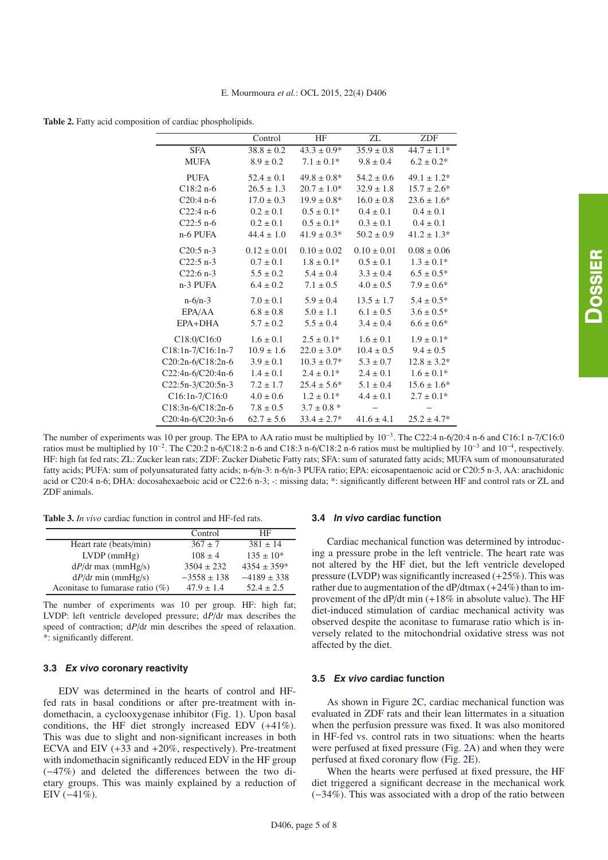**Table 2.** Fatty acid composition of cardiac phospholipids.

|                     | Control         | HF               | ZL              | <b>ZDF</b>       |
|---------------------|-----------------|------------------|-----------------|------------------|
| <b>SFA</b>          | $38.8 \pm 0.2$  | $43.3 \pm 0.9*$  | $35.9 \pm 0.8$  | $44.7 \pm 1.1*$  |
| <b>MUFA</b>         | $8.9 \pm 0.2$   | $7.1 \pm 0.1*$   | $9.8 \pm 0.4$   | $6.2 \pm 0.2^*$  |
| <b>PUFA</b>         | $52.4 \pm 0.1$  | $49.8 \pm 0.8^*$ | $54.2 \pm 0.6$  | $49.1 \pm 1.2^*$ |
| $C18:2 n-6$         | $26.5 \pm 1.3$  | $20.7 \pm 1.0^*$ | $32.9 \pm 1.8$  | $15.7 \pm 2.6^*$ |
| $C20:4n-6$          | $17.0 \pm 0.3$  | $19.9 \pm 0.8^*$ | $16.0 \pm 0.8$  | $23.6 \pm 1.6*$  |
| $C22:4n-6$          | $0.2 \pm 0.1$   | $0.5 \pm 0.1*$   | $0.4 \pm 0.1$   | $0.4 \pm 0.1$    |
| $C22:5n-6$          | $0.2 \pm 0.1$   | $0.5 \pm 0.1*$   | $0.3 \pm 0.1$   | $0.4 \pm 0.1$    |
| n-6 PUFA            | $44.4 \pm 1.0$  | $41.9 \pm 0.3*$  | $50.2 \pm 0.9$  | $41.2 \pm 1.3*$  |
| $C20:5 n-3$         | $0.12 \pm 0.01$ | $0.10 \pm 0.02$  | $0.10 \pm 0.01$ | $0.08 \pm 0.06$  |
| $C22:5 n-3$         | $0.7 \pm 0.1$   | $1.8 \pm 0.1*$   | $0.5 \pm 0.1$   | $1.3 \pm 0.1*$   |
| $C22:6n-3$          | $5.5 \pm 0.2$   | $5.4 \pm 0.4$    | $3.3 \pm 0.4$   | $6.5 \pm 0.5^*$  |
| n-3 PUFA            | $6.4 \pm 0.2$   | $7.1 \pm 0.5$    | $4.0 \pm 0.5$   | $7.9 \pm 0.6*$   |
| $n - 6/n - 3$       | $7.0 \pm 0.1$   | $5.9 \pm 0.4$    | $13.5 \pm 1.7$  | $5.4 \pm 0.5*$   |
| EPA/AA              | $6.8 \pm 0.8$   | $5.0 \pm 1.1$    | $6.1 \pm 0.5$   | $3.6 \pm 0.5*$   |
| EPA+DHA             | $5.7 \pm 0.2$   | $5.5 \pm 0.4$    | $3.4 \pm 0.4$   | $6.6 \pm 0.6*$   |
| C18:0/C16:0         | $1.6 \pm 0.1$   | $2.5 \pm 0.1^*$  | $1.6 \pm 0.1$   | $1.9 \pm 0.1*$   |
| $C18:1n-7/C16:1n-7$ | $10.9 \pm 1.6$  | $22.0 \pm 3.0^*$ | $10.4 \pm 0.5$  | $9.4 \pm 0.5$    |
| C20:2n-6/C18:2n-6   | $3.9 \pm 0.1$   | $10.3 \pm 0.7^*$ | $5.3 \pm 0.7$   | $12.8 \pm 3.2*$  |
| C22:4n-6/C20:4n-6   | $1.4 \pm 0.1$   | $2.4 \pm 0.1*$   | $2.4 \pm 0.1$   | $1.6 \pm 0.1*$   |
| C22:5n-3/C20:5n-3   | $7.2 \pm 1.7$   | $25.4 \pm 5.6^*$ | $5.1 \pm 0.4$   | $15.6 \pm 1.6*$  |
| $C16:1n-7/C16:0$    | $4.0 \pm 0.6$   | $1.2 \pm 0.1*$   | $4.4 \pm 0.1$   | $2.7 \pm 0.1*$   |
| C18:3n-6/C18:2n-6   | $7.8 \pm 0.5$   | $3.7 \pm 0.8$ *  |                 |                  |
| C20:4n-6/C20:3n-6   | $62.7 \pm 5.6$  | $33.4 \pm 2.7^*$ | $41.6 \pm 4.1$  | $25.2 \pm 4.7*$  |

The number of experiments was 10 per group. The EPA to AA ratio must be multiplied by 10<sup>-3</sup>. The C22:4 n-6/20:4 n-6 and C16:1 n-7/C16:0 ratios must be multiplied by 10−2. The C20:2 n-6/C18:2 n-6 and C18:3 n-6/C18:2 n-6 ratios must be multiplied by 10−<sup>3</sup> and 10−4, respectively. HF: high fat fed rats; ZL: Zucker lean rats; ZDF: Zucker Diabetic Fatty rats; SFA: sum of saturated fatty acids; MUFA sum of monounsaturated fatty acids; PUFA: sum of polyunsaturated fatty acids; n-6/n-3: n-6/n-3 PUFA ratio; EPA: eicosapentaenoic acid or C20:5 n-3, AA: arachidonic acid or C20:4 n-6; DHA: docosahexaeboic acid or C22:6 n-3; -: missing data; \*: significantly different between HF and control rats or ZL and ZDF animals.

**Table 3.** *In vivo* cardiac function in control and HF-fed rats.

|                                    | Control         | НF              |
|------------------------------------|-----------------|-----------------|
| Heart rate (beats/min)             | $367 \pm 7$     | $381 \pm 14$    |
| $LVDP$ (mmHg)                      | $108 \pm 4$     | $135 \pm 10^*$  |
| $dP/dt$ max (mmHg/s)               | $3504 \pm 232$  | $4354 \pm 359*$ |
| $dP/dt$ min (mmHg/s)               | $-3558 \pm 138$ | $-4189 \pm 338$ |
| Aconitase to fumarase ratio $(\%)$ | $47.9 \pm 1.4$  | $52.4 + 2.5$    |

The number of experiments was 10 per group. HF: high fat; LVDP: left ventricle developed pressure; d*P*/d*t* max describes the speed of contraction; d*P*/d*t* min describes the speed of relaxation. \*: significantly different.

#### **3.3 Ex vivo coronary reactivity**

EDV was determined in the hearts of control and HFfed rats in basal conditions or after pre-treatment with indomethacin, a cyclooxygenase inhibitor (Fig. [1\)](#page-5-0). Upon basal conditions, the HF diet strongly increased EDV (+41%). This was due to slight and non-significant increases in both ECVA and EIV (+33 and +20%, respectively). Pre-treatment with indomethacin significantly reduced EDV in the HF group (−47%) and deleted the differences between the two dietary groups. This was mainly explained by a reduction of EIV  $(-41\%)$ .

#### **3.4 In vivo cardiac function**

Cardiac mechanical function was determined by introducing a pressure probe in the left ventricle. The heart rate was not altered by the HF diet, but the left ventricle developed pressure (LVDP) was significantly increased (+25%). This was rather due to augmentation of the  $dP/dt$   $( +24\%)$  than to improvement of the dP/dt min (+18% in absolute value). The HF diet-induced stimulation of cardiac mechanical activity was observed despite the aconitase to fumarase ratio which is inversely related to the mitochondrial oxidative stress was not affected by the diet.

#### **3.5 Ex vivo cardiac function**

As shown in Figure [2C](#page-5-1), cardiac mechanical function was evaluated in ZDF rats and their lean littermates in a situation when the perfusion pressure was fixed. It was also monitored in HF-fed vs. control rats in two situations: when the hearts were perfused at fixed pressure (Fig. [2A](#page-5-1)) and when they were perfused at fixed coronary flow (Fig. [2E](#page-5-1)).

When the hearts were perfused at fixed pressure, the HF diet triggered a significant decrease in the mechanical work (−34%). This was associated with a drop of the ratio between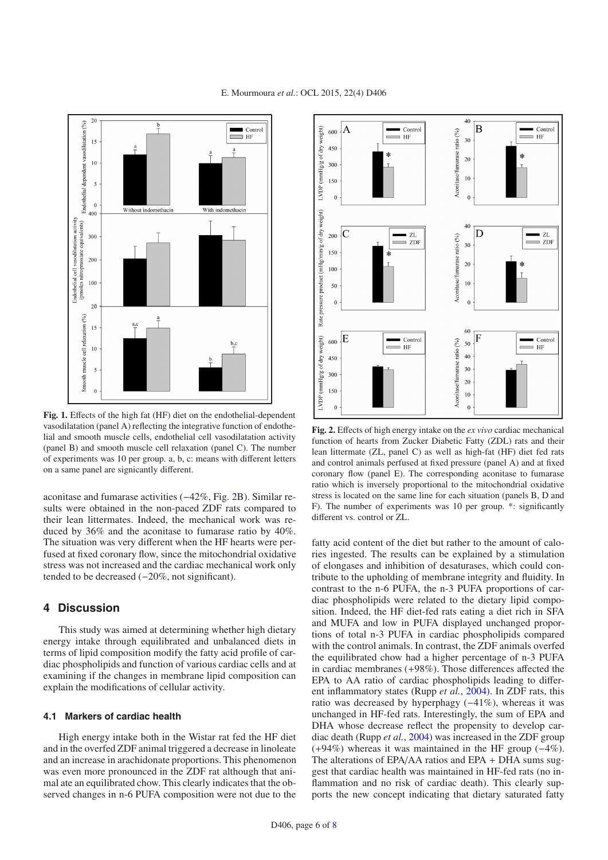

<span id="page-5-0"></span>**Fig. 1.** Effects of the high fat (HF) diet on the endothelial-dependent vasodilatation (panel A) reflecting the integrative function of endothelial and smooth muscle cells, endothelial cell vasodilatation activity (panel B) and smooth muscle cell relaxation (panel C). The number of experiments was 10 per group. a, b, c: means with different letters on a same panel are signicantly different.

aconitase and fumarase activities (−42%, Fig. [2B](#page-5-1)). Similar results were obtained in the non-paced ZDF rats compared to their lean littermates. Indeed, the mechanical work was reduced by 36% and the aconitase to fumarase ratio by 40%. The situation was very different when the HF hearts were perfused at fixed coronary flow, since the mitochondrial oxidative stress was not increased and the cardiac mechanical work only tended to be decreased (−20%, not significant).

# **4 Discussion**

This study was aimed at determining whether high dietary energy intake through equilibrated and unbalanced diets in terms of lipid composition modify the fatty acid profile of cardiac phospholipids and function of various cardiac cells and at examining if the changes in membrane lipid composition can explain the modifications of cellular activity.

#### **4.1 Markers of cardiac health**

High energy intake both in the Wistar rat fed the HF diet and in the overfed ZDF animal triggered a decrease in linoleate and an increase in arachidonate proportions. This phenomenon was even more pronounced in the ZDF rat although that animal ate an equilibrated chow. This clearly indicates that the observed changes in n-6 PUFA composition were not due to the



<span id="page-5-1"></span>**Fig. 2.** Effects of high energy intake on the *ex vivo* cardiac mechanical function of hearts from Zucker Diabetic Fatty (ZDL) rats and their lean littermate (ZL, panel C) as well as high-fat (HF) diet fed rats and control animals perfused at fixed pressure (panel A) and at fixed coronary flow (panel E). The corresponding aconitase to fumarase ratio which is inversely proportional to the mitochondrial oxidative stress is located on the same line for each situation (panels B, D and F). The number of experiments was 10 per group. \*: significantly different vs. control or ZL.

fatty acid content of the diet but rather to the amount of calories ingested. The results can be explained by a stimulation of elongases and inhibition of desaturases, which could contribute to the upholding of membrane integrity and fluidity. In contrast to the n-6 PUFA, the n-3 PUFA proportions of cardiac phospholipids were related to the dietary lipid composition. Indeed, the HF diet-fed rats eating a diet rich in SFA and MUFA and low in PUFA displayed unchanged proportions of total n-3 PUFA in cardiac phospholipids compared with the control animals. In contrast, the ZDF animals overfed the equilibrated chow had a higher percentage of n-3 PUFA in cardiac membranes (+98%). Those differences affected the EPA to AA ratio of cardiac phospholipids leading to different inflammatory states (Rupp *et al.*, [2004\)](#page-7-16). In ZDF rats, this ratio was decreased by hyperphagy (−41%), whereas it was unchanged in HF-fed rats. Interestingly, the sum of EPA and DHA whose decrease reflect the propensity to develop cardiac death (Rupp *et al.*, [2004](#page-7-16)) was increased in the ZDF group (+94%) whereas it was maintained in the HF group (−4%). The alterations of EPA/AA ratios and EPA + DHA sums suggest that cardiac health was maintained in HF-fed rats (no inflammation and no risk of cardiac death). This clearly supports the new concept indicating that dietary saturated fatty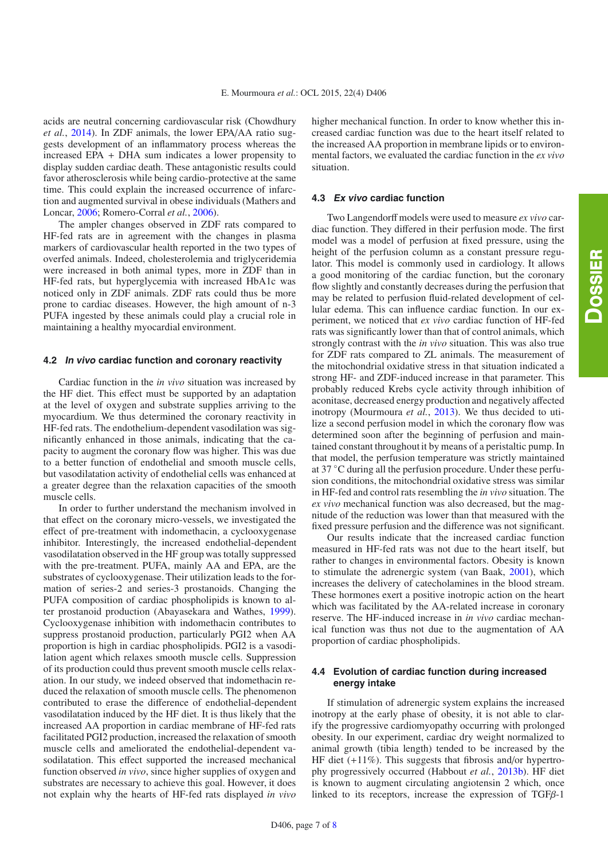acids are neutral concerning cardiovascular risk (Chowdhury *et al.*, [2014\)](#page-7-17). In ZDF animals, the lower EPA/AA ratio suggests development of an inflammatory process whereas the increased EPA + DHA sum indicates a lower propensity to display sudden cardiac death. These antagonistic results could favor atherosclerosis while being cardio-protective at the same time. This could explain the increased occurrence of infarction and augmented survival in obese individuals (Mathers and Loncar, [2006;](#page-7-0) Romero-Corral *et al.*, [2006\)](#page-7-1).

The ampler changes observed in ZDF rats compared to HF-fed rats are in agreement with the changes in plasma markers of cardiovascular health reported in the two types of overfed animals. Indeed, cholesterolemia and triglyceridemia were increased in both animal types, more in ZDF than in HF-fed rats, but hyperglycemia with increased HbA1c was noticed only in ZDF animals. ZDF rats could thus be more prone to cardiac diseases. However, the high amount of n-3 PUFA ingested by these animals could play a crucial role in maintaining a healthy myocardial environment.

#### **4.2 In vivo cardiac function and coronary reactivity**

Cardiac function in the *in vivo* situation was increased by the HF diet. This effect must be supported by an adaptation at the level of oxygen and substrate supplies arriving to the myocardium. We thus determined the coronary reactivity in HF-fed rats. The endothelium-dependent vasodilation was significantly enhanced in those animals, indicating that the capacity to augment the coronary flow was higher. This was due to a better function of endothelial and smooth muscle cells, but vasodilatation activity of endothelial cells was enhanced at a greater degree than the relaxation capacities of the smooth muscle cells.

In order to further understand the mechanism involved in that effect on the coronary micro-vessels, we investigated the effect of pre-treatment with indomethacin, a cyclooxygenase inhibitor. Interestingly, the increased endothelial-dependent vasodilatation observed in the HF group was totally suppressed with the pre-treatment. PUFA, mainly AA and EPA, are the substrates of cyclooxygenase. Their utilization leads to the formation of series-2 and series-3 prostanoids. Changing the PUFA composition of cardiac phospholipids is known to alter prostanoid production (Abayasekara and Wathes, [1999](#page-7-18)). Cyclooxygenase inhibition with indomethacin contributes to suppress prostanoid production, particularly PGI2 when AA proportion is high in cardiac phospholipids. PGI2 is a vasodilation agent which relaxes smooth muscle cells. Suppression of its production could thus prevent smooth muscle cells relaxation. In our study, we indeed observed that indomethacin reduced the relaxation of smooth muscle cells. The phenomenon contributed to erase the difference of endothelial-dependent vasodilatation induced by the HF diet. It is thus likely that the increased AA proportion in cardiac membrane of HF-fed rats facilitated PGI2 production, increased the relaxation of smooth muscle cells and ameliorated the endothelial-dependent vasodilatation. This effect supported the increased mechanical function observed *in vivo*, since higher supplies of oxygen and substrates are necessary to achieve this goal. However, it does not explain why the hearts of HF-fed rats displayed *in vivo*

higher mechanical function. In order to know whether this increased cardiac function was due to the heart itself related to the increased AA proportion in membrane lipids or to environmental factors, we evaluated the cardiac function in the *ex vivo* situation.

#### **4.3 Ex vivo cardiac function**

Two Langendorff models were used to measure *ex vivo* cardiac function. They differed in their perfusion mode. The first model was a model of perfusion at fixed pressure, using the height of the perfusion column as a constant pressure regulator. This model is commonly used in cardiology. It allows a good monitoring of the cardiac function, but the coronary flow slightly and constantly decreases during the perfusion that may be related to perfusion fluid-related development of cellular edema. This can influence cardiac function. In our experiment, we noticed that *ex vivo* cardiac function of HF-fed rats was significantly lower than that of control animals, which strongly contrast with the *in vivo* situation. This was also true for ZDF rats compared to ZL animals. The measurement of the mitochondrial oxidative stress in that situation indicated a strong HF- and ZDF-induced increase in that parameter. This probably reduced Krebs cycle activity through inhibition of aconitase, decreased energy production and negatively affected inotropy (Mourmoura *et al.*, [2013\)](#page-7-12). We thus decided to utilize a second perfusion model in which the coronary flow was determined soon after the beginning of perfusion and maintained constant throughout it by means of a peristaltic pump. In that model, the perfusion temperature was strictly maintained at 37 ◦C during all the perfusion procedure. Under these perfusion conditions, the mitochondrial oxidative stress was similar in HF-fed and control rats resembling the *in vivo* situation. The *ex vivo* mechanical function was also decreased, but the magnitude of the reduction was lower than that measured with the fixed pressure perfusion and the difference was not significant.

Our results indicate that the increased cardiac function measured in HF-fed rats was not due to the heart itself, but rather to changes in environmental factors. Obesity is known to stimulate the adrenergic system (van Baak, [2001\)](#page-7-19), which increases the delivery of catecholamines in the blood stream. These hormones exert a positive inotropic action on the heart which was facilitated by the AA-related increase in coronary reserve. The HF-induced increase in *in vivo* cardiac mechanical function was thus not due to the augmentation of AA proportion of cardiac phospholipids.

#### **4.4 Evolution of cardiac function during increased energy intake**

If stimulation of adrenergic system explains the increased inotropy at the early phase of obesity, it is not able to clarify the progressive cardiomyopathy occurring with prolonged obesity. In our experiment, cardiac dry weight normalized to animal growth (tibia length) tended to be increased by the HF diet (+11%). This suggests that fibrosis and/or hypertrophy progressively occurred (Habbout *et al.*, [2013b\)](#page-7-4). HF diet is known to augment circulating angiotensin 2 which, once linked to its receptors, increase the expression of TGF $\beta$ -1